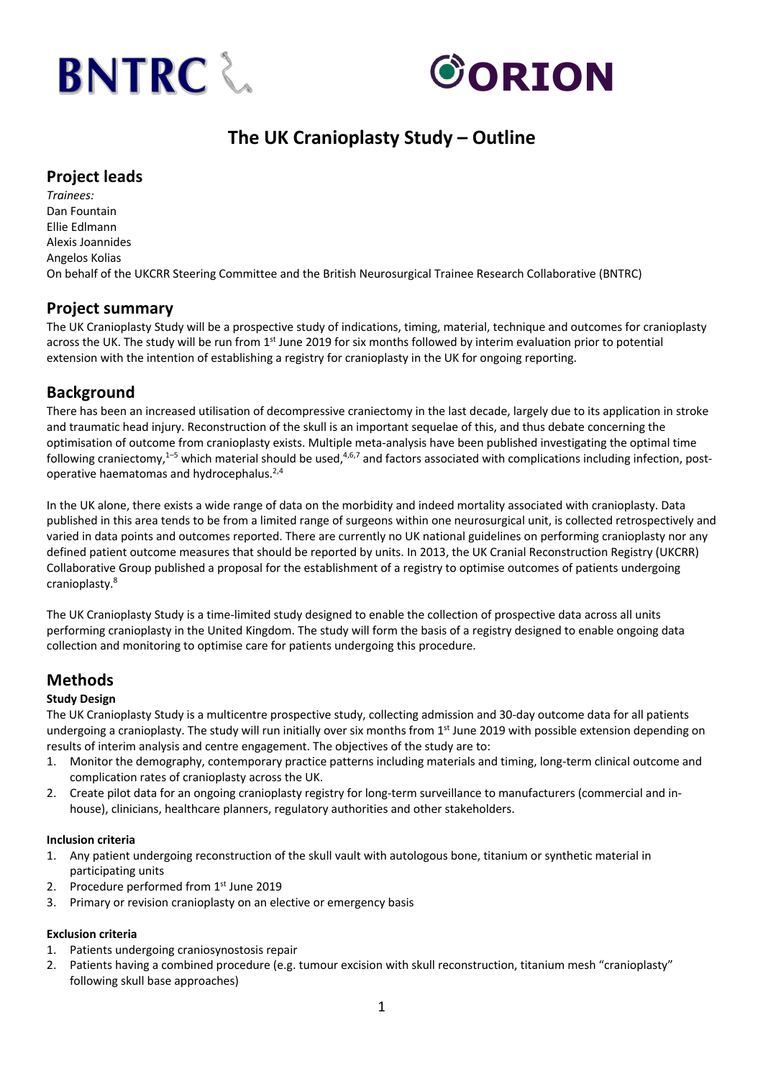



# **The UK Cranioplasty Study – Outline**

### **Project leads**

*Trainees:* Dan Fountain Ellie Edlmann Alexis Joannides Angelos Kolias On behalf of the UKCRR Steering Committee and the British Neurosurgical Trainee Research Collaborative (BNTRC)

## **Project summary**

The UK Cranioplasty Study will be a prospective study of indications, timing, material, technique and outcomes for cranioplasty across the UK. The study will be run from 1<sup>st</sup> June 2019 for six months followed by interim evaluation prior to potential extension with the intention of establishing a registry for cranioplasty in the UK for ongoing reporting.

## **Background**

There has been an increased utilisation of decompressive craniectomy in the last decade, largely due to its application in stroke and traumatic head injury. Reconstruction of the skull is an important sequelae of this, and thus debate concerning the optimisation of outcome from cranioplasty exists. Multiple meta-analysis have been published investigating the optimal time following craniectomy,<sup>1–5</sup> which material should be used,<sup>4,6,7</sup> and factors associated with complications including infection, postoperative haematomas and hydrocephalus.<sup>2,4</sup>

In the UK alone, there exists a wide range of data on the morbidity and indeed mortality associated with cranioplasty. Data published in this area tends to be from a limited range of surgeons within one neurosurgical unit, is collected retrospectively and varied in data points and outcomes reported. There are currently no UK national guidelines on performing cranioplasty nor any defined patient outcome measures that should be reported by units. In 2013, the UK Cranial Reconstruction Registry (UKCRR) Collaborative Group published a proposal for the establishment of a registry to optimise outcomes of patients undergoing cranioplasty.8

The UK Cranioplasty Study is a time-limited study designed to enable the collection of prospective data across all units performing cranioplasty in the United Kingdom. The study will form the basis of a registry designed to enable ongoing data collection and monitoring to optimise care for patients undergoing this procedure.

# **Methods**

### **Study Design**

The UK Cranioplasty Study is a multicentre prospective study, collecting admission and 30-day outcome data for all patients undergoing a cranioplasty. The study will run initially over six months from 1<sup>st</sup> June 2019 with possible extension depending on results of interim analysis and centre engagement. The objectives of the study are to:

- 1. Monitor the demography, contemporary practice patterns including materials and timing, long-term clinical outcome and complication rates of cranioplasty across the UK.
- 2. Create pilot data for an ongoing cranioplasty registry for long-term surveillance to manufacturers (commercial and inhouse), clinicians, healthcare planners, regulatory authorities and other stakeholders.

### **Inclusion criteria**

- 1. Any patient undergoing reconstruction of the skull vault with autologous bone, titanium or synthetic material in participating units
- 2. Procedure performed from  $1<sup>st</sup>$  June 2019
- 3. Primary or revision cranioplasty on an elective or emergency basis

### **Exclusion criteria**

- 1. Patients undergoing craniosynostosis repair
- 2. Patients having a combined procedure (e.g. tumour excision with skull reconstruction, titanium mesh "cranioplasty" following skull base approaches)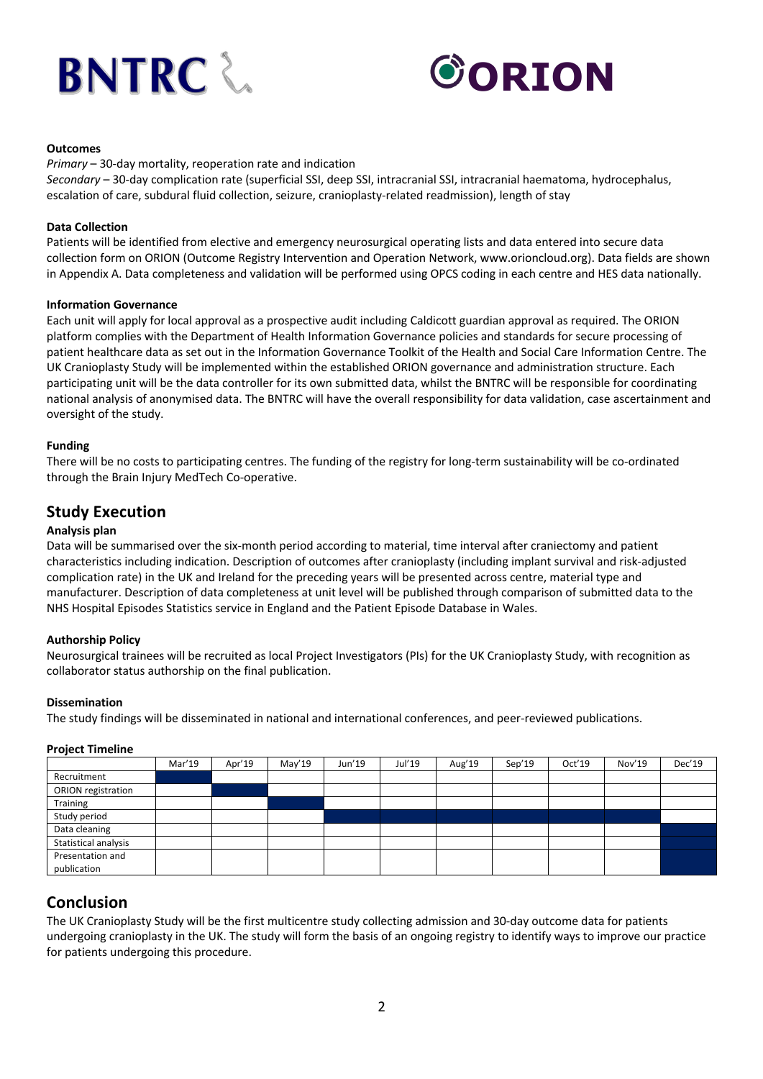



#### **Outcomes**

*Primary* – 30-day mortality, reoperation rate and indication *Secondary* – 30-day complication rate (superficial SSI, deep SSI, intracranial SSI, intracranial haematoma, hydrocephalus, escalation of care, subdural fluid collection, seizure, cranioplasty-related readmission), length of stay

#### **Data Collection**

Patients will be identified from elective and emergency neurosurgical operating lists and data entered into secure data collection form on ORION (Outcome Registry Intervention and Operation Network, www.orioncloud.org). Data fields are shown in Appendix A. Data completeness and validation will be performed using OPCS coding in each centre and HES data nationally.

#### **Information Governance**

Each unit will apply for local approval as a prospective audit including Caldicott guardian approval as required. The ORION platform complies with the Department of Health Information Governance policies and standards for secure processing of patient healthcare data as set out in the Information Governance Toolkit of the Health and Social Care Information Centre. The UK Cranioplasty Study will be implemented within the established ORION governance and administration structure. Each participating unit will be the data controller for its own submitted data, whilst the BNTRC will be responsible for coordinating national analysis of anonymised data. The BNTRC will have the overall responsibility for data validation, case ascertainment and oversight of the study.

#### **Funding**

There will be no costs to participating centres. The funding of the registry for long-term sustainability will be co-ordinated through the Brain Injury MedTech Co-operative.

### **Study Execution**

#### **Analysis plan**

Data will be summarised over the six-month period according to material, time interval after craniectomy and patient characteristics including indication. Description of outcomes after cranioplasty (including implant survival and risk-adjusted complication rate) in the UK and Ireland for the preceding years will be presented across centre, material type and manufacturer. Description of data completeness at unit level will be published through comparison of submitted data to the NHS Hospital Episodes Statistics service in England and the Patient Episode Database in Wales.

#### **Authorship Policy**

Neurosurgical trainees will be recruited as local Project Investigators (PIs) for the UK Cranioplasty Study, with recognition as collaborator status authorship on the final publication.

#### **Dissemination**

The study findings will be disseminated in national and international conferences, and peer-reviewed publications.

#### **Project Timeline**

|                           | Mar'19 | Apr'19 | May'19 | Jun'19 | Jul'19 | Aug'19 | Sep'19 | Oct'19 | Nov'19 | Dec'19 |
|---------------------------|--------|--------|--------|--------|--------|--------|--------|--------|--------|--------|
| Recruitment               |        |        |        |        |        |        |        |        |        |        |
| <b>ORION</b> registration |        |        |        |        |        |        |        |        |        |        |
| Training                  |        |        |        |        |        |        |        |        |        |        |
| Study period              |        |        |        |        |        |        |        |        |        |        |
| Data cleaning             |        |        |        |        |        |        |        |        |        |        |
| Statistical analysis      |        |        |        |        |        |        |        |        |        |        |
| Presentation and          |        |        |        |        |        |        |        |        |        |        |
| publication               |        |        |        |        |        |        |        |        |        |        |

### **Conclusion**

The UK Cranioplasty Study will be the first multicentre study collecting admission and 30-day outcome data for patients undergoing cranioplasty in the UK. The study will form the basis of an ongoing registry to identify ways to improve our practice for patients undergoing this procedure.